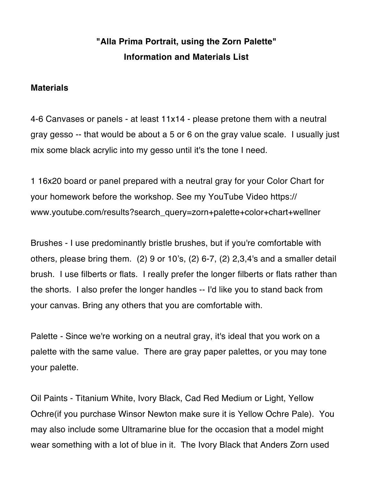## **"Alla Prima Portrait, using the Zorn Palette" Information and Materials List**

## **Materials**

4-6 Canvases or panels - at least 11x14 - please pretone them with a neutral gray gesso -- that would be about a 5 or 6 on the gray value scale. I usually just mix some black acrylic into my gesso until it's the tone I need.

1 16x20 board or panel prepared with a neutral gray for your Color Chart for your homework before the workshop. See my YouTube Video [https://](https://www.youtube.com/results?search_query=zorn+palette+color+chart+wellner) [www.youtube.com/results?search\\_query=zorn+palette+color+chart+wellner](https://www.youtube.com/results?search_query=zorn+palette+color+chart+wellner)

Brushes - I use predominantly bristle brushes, but if you're comfortable with others, please bring them. (2) 9 or 10's, (2) 6-7, (2) 2,3,4's and a smaller detail brush. I use filberts or flats. I really prefer the longer filberts or flats rather than the shorts. I also prefer the longer handles -- I'd like you to stand back from your canvas. Bring any others that you are comfortable with.

Palette - Since we're working on a neutral gray, it's ideal that you work on a palette with the same value. There are gray paper palettes, or you may tone your palette.

Oil Paints - Titanium White, Ivory Black, Cad Red Medium or Light, Yellow Ochre(if you purchase Winsor Newton make sure it is Yellow Ochre Pale). You may also include some Ultramarine blue for the occasion that a model might wear something with a lot of blue in it. The Ivory Black that Anders Zorn used